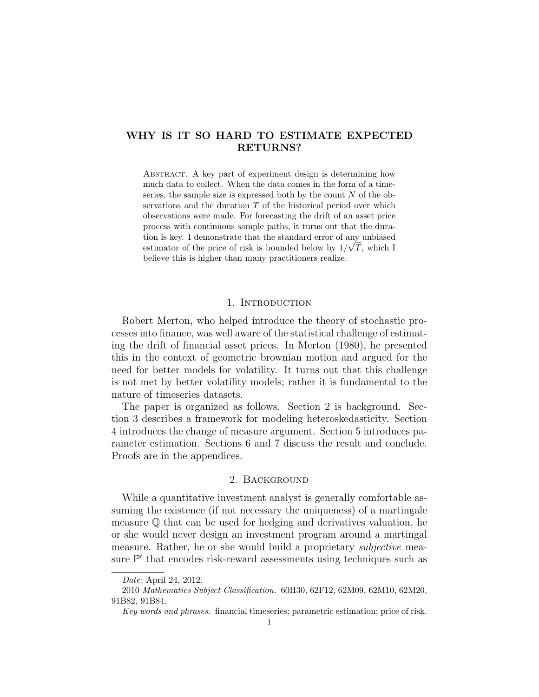# WHY IS IT SO HARD TO ESTIMATE EXPECTED RETURNS?

ABSTRACT. A key part of experiment design is determining how much data to collect. When the data comes in the form of a timeseries, the sample size is expressed both by the count  $N$  of the observations and the duration T of the historical period over which observations were made. For forecasting the drift of an asset price process with continuous sample paths, it turns out that the duration is key. I demonstrate that the standard error of any unbiased estimator of the price of risk is bounded below by  $1/\sqrt{T}$ , which I believe this is higher than many practitioners realize.

## 1. INTRODUCTION

Robert Merton, who helped introduce the theory of stochastic processes into finance, was well aware of the statistical challenge of estimating the drift of financial asset prices. In Merton (1980), he presented this in the context of geometric brownian motion and argued for the need for better models for volatility. It turns out that this challenge is not met by better volatility models; rather it is fundamental to the nature of timeseries datasets.

The paper is organized as follows. Section 2 is background. Section 3 describes a framework for modeling heteroskedasticity. Section 4 introduces the change of measure argument. Section 5 introduces parameter estimation. Sections 6 and 7 discuss the result and conclude. Proofs are in the appendices.

## 2. Background

While a quantitative investment analyst is generally comfortable assuming the existence (if not necessary the uniqueness) of a martingale measure  $\mathbb Q$  that can be used for hedging and derivatives valuation, he or she would never design an investment program around a martingal measure. Rather, he or she would build a proprietary *subjective* measure  $\mathbb{P}'$  that encodes risk-reward assessments using techniques such as

Date: April 24, 2012.

<sup>2010</sup> Mathematics Subject Classification. 60H30, 62F12, 62M09, 62M10, 62M20, 91B82, 91B84.

Key words and phrases. financial timeseries; parametric estimation; price of risk.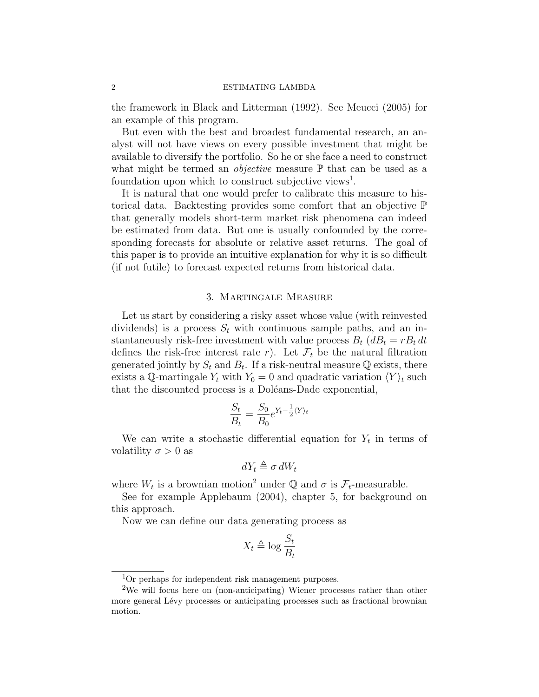the framework in Black and Litterman (1992). See Meucci (2005) for an example of this program.

But even with the best and broadest fundamental research, an analyst will not have views on every possible investment that might be available to diversify the portfolio. So he or she face a need to construct what might be termed an *objective* measure  $\mathbb{P}$  that can be used as a foundation upon which to construct subjective views<sup>1</sup>.

It is natural that one would prefer to calibrate this measure to historical data. Backtesting provides some comfort that an objective P that generally models short-term market risk phenomena can indeed be estimated from data. But one is usually confounded by the corresponding forecasts for absolute or relative asset returns. The goal of this paper is to provide an intuitive explanation for why it is so difficult (if not futile) to forecast expected returns from historical data.

### 3. Martingale Measure

Let us start by considering a risky asset whose value (with reinvested dividends) is a process  $S_t$  with continuous sample paths, and an instantaneously risk-free investment with value process  $B_t$   $(dB_t = rB_t dt)$ defines the risk-free interest rate r). Let  $\mathcal{F}_t$  be the natural filtration generated jointly by  $S_t$  and  $B_t$ . If a risk-neutral measure Q exists, there exists a Q-martingale  $Y_t$  with  $Y_0 = 0$  and quadratic variation  $\langle Y \rangle_t$  such that the discounted process is a Doléans-Dade exponential,

$$
\frac{S_t}{B_t} = \frac{S_0}{B_0} e^{Y_t - \frac{1}{2} \langle Y \rangle_t}
$$

We can write a stochastic differential equation for  $Y_t$  in terms of volatility  $\sigma > 0$  as

$$
dY_t \triangleq \sigma dW_t
$$

where  $W_t$  is a brownian motion<sup>2</sup> under  $\mathbb Q$  and  $\sigma$  is  $\mathcal{F}_t$ -measurable.

See for example Applebaum (2004), chapter 5, for background on this approach.

Now we can define our data generating process as

$$
X_t \triangleq \log \frac{S_t}{B_t}
$$

<sup>1</sup>Or perhaps for independent risk management purposes.

<sup>&</sup>lt;sup>2</sup>We will focus here on (non-anticipating) Wiener processes rather than other more general Lévy processes or anticipating processes such as fractional brownian motion.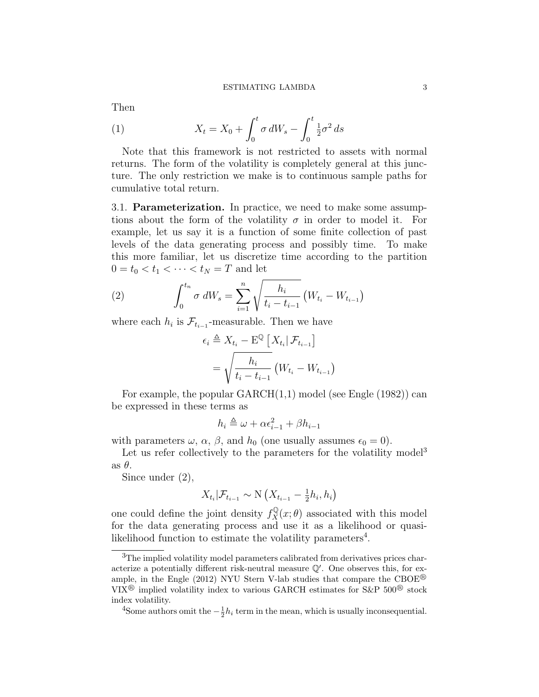Then

(1) 
$$
X_t = X_0 + \int_0^t \sigma dW_s - \int_0^t \frac{1}{2} \sigma^2 ds
$$

Note that this framework is not restricted to assets with normal returns. The form of the volatility is completely general at this juncture. The only restriction we make is to continuous sample paths for cumulative total return.

3.1. Parameterization. In practice, we need to make some assumptions about the form of the volatility  $\sigma$  in order to model it. For example, let us say it is a function of some finite collection of past levels of the data generating process and possibly time. To make this more familiar, let us discretize time according to the partition  $0 = t_0 < t_1 < \cdots < t_N = T$  and let

(2) 
$$
\int_0^{t_n} \sigma \, dW_s = \sum_{i=1}^n \sqrt{\frac{h_i}{t_i - t_{i-1}}} \left( W_{t_i} - W_{t_{i-1}} \right)
$$

where each  $h_i$  is  $\mathcal{F}_{t_{i-1}}$ -measurable. Then we have

$$
\epsilon_i \triangleq X_{t_i} - \mathbf{E}^{\mathbb{Q}} \left[ X_{t_i} | \mathcal{F}_{t_{i-1}} \right]
$$

$$
= \sqrt{\frac{h_i}{t_i - t_{i-1}}} \left( W_{t_i} - W_{t_{i-1}} \right)
$$

For example, the popular GARCH(1,1) model (see Engle (1982)) can be expressed in these terms as

$$
h_i \triangleq \omega + \alpha \epsilon_{i-1}^2 + \beta h_{i-1}
$$

with parameters  $\omega$ ,  $\alpha$ ,  $\beta$ , and  $h_0$  (one usually assumes  $\epsilon_0 = 0$ ).

Let us refer collectively to the parameters for the volatility model<sup>3</sup> as  $\theta$ .

Since under (2),

$$
X_{t_i} | \mathcal{F}_{t_{i-1}} \sim \mathcal{N} \left( X_{t_{i-1}} - \frac{1}{2} h_i, h_i \right)
$$

one could define the joint density  $f_X^{\mathbb{Q}}(x; \theta)$  associated with this model for the data generating process and use it as a likelihood or quasilikelihood function to estimate the volatility parameters<sup>4</sup>.

<sup>&</sup>lt;sup>3</sup>The implied volatility model parameters calibrated from derivatives prices characterize a potentially different risk-neutral measure  $\mathbb{Q}'$ . One observes this, for example, in the Engle (2012) NYU Stern V-lab studies that compare the CBOE<sup>®</sup> VIX<sup>®</sup> implied volatility index to various GARCH estimates for S&P  $500^{\circledR}$  stock index volatility.

<sup>&</sup>lt;sup>4</sup>Some authors omit the  $-\frac{1}{2}h_i$  term in the mean, which is usually inconsequential.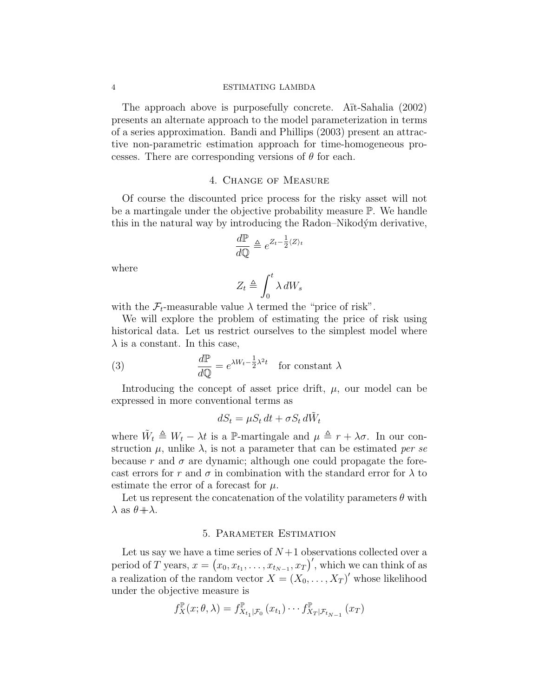The approach above is purposefully concrete. A<sub>it-Sahalia</sub> (2002) presents an alternate approach to the model parameterization in terms of a series approximation. Bandi and Phillips (2003) present an attractive non-parametric estimation approach for time-homogeneous processes. There are corresponding versions of  $\theta$  for each.

### 4. Change of Measure

Of course the discounted price process for the risky asset will not be a martingale under the objective probability measure P. We handle this in the natural way by introducing the Radon–Nikodým derivative,

$$
\frac{d\mathbb{P}}{d\mathbb{Q}} \triangleq e^{Z_t - \frac{1}{2}\langle Z \rangle_t}
$$

where

$$
Z_t \triangleq \int_0^t \lambda \, dW_s
$$

with the  $\mathcal{F}_t$ -measurable value  $\lambda$  termed the "price of risk".

We will explore the problem of estimating the price of risk using historical data. Let us restrict ourselves to the simplest model where  $\lambda$  is a constant. In this case,

(3) 
$$
\frac{d\mathbb{P}}{d\mathbb{Q}} = e^{\lambda W_t - \frac{1}{2}\lambda^2 t} \text{ for constant } \lambda
$$

Introducing the concept of asset price drift,  $\mu$ , our model can be expressed in more conventional terms as

$$
dS_t = \mu S_t dt + \sigma S_t d\tilde{W}_t
$$

where  $\tilde{W}_t \triangleq W_t - \lambda t$  is a P-martingale and  $\mu \triangleq r + \lambda \sigma$ . In our construction  $\mu$ , unlike  $\lambda$ , is not a parameter that can be estimated per se because r and  $\sigma$  are dynamic; although one could propagate the forecast errors for r and  $\sigma$  in combination with the standard error for  $\lambda$  to estimate the error of a forecast for  $\mu$ .

Let us represent the concatenation of the volatility parameters  $\theta$  with  $\lambda$  as  $\theta + \lambda$ .

#### 5. Parameter Estimation

Let us say we have a time series of  $N+1$  observations collected over a period of T years,  $x = (x_0, x_{t_1}, \ldots, x_{t_{N-1}}, x_T)'$ , which we can think of as a realization of the random vector  $X = (X_0, \ldots, X_T)'$  whose likelihood under the objective measure is

$$
f_X^{\mathbb{P}}(x;\theta,\lambda) = f_{X_{t_1}|\mathcal{F}_0}^{\mathbb{P}}(x_{t_1}) \cdots f_{X_T|\mathcal{F}_{t_{N-1}}}(x_T)
$$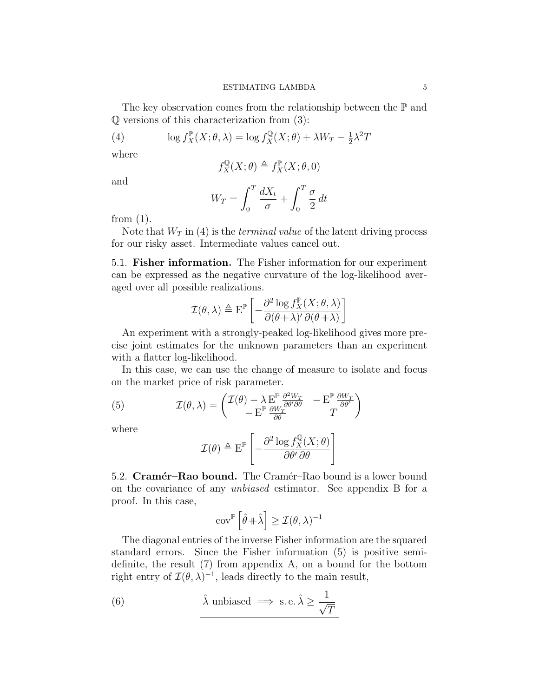The key observation comes from the relationship between the  $\mathbb P$  and Q versions of this characterization from (3):

(4) 
$$
\log f_X^{\mathbb{P}}(X;\theta,\lambda) = \log f_X^{\mathbb{Q}}(X;\theta) + \lambda W_T - \frac{1}{2}\lambda^2 T
$$

where

$$
f_X^{\mathbb{Q}}(X;\theta) \triangleq f_X^{\mathbb{P}}(X;\theta,0)
$$

and

$$
W_T = \int_0^T \frac{dX_t}{\sigma} + \int_0^T \frac{\sigma}{2} dt
$$

from  $(1)$ .

Note that  $W_T$  in (4) is the *terminal value* of the latent driving process for our risky asset. Intermediate values cancel out.

5.1. Fisher information. The Fisher information for our experiment can be expressed as the negative curvature of the log-likelihood averaged over all possible realizations.

$$
\mathcal{I}(\theta,\lambda) \triangleq \mathrm{E}^{\mathbb{P}}\left[-\frac{\partial^2 \log f_X^{\mathbb{P}}(X;\theta,\lambda)}{\partial(\theta+\lambda)'\,\partial(\theta+\lambda)}\right]
$$

An experiment with a strongly-peaked log-likelihood gives more precise joint estimates for the unknown parameters than an experiment with a flatter log-likelihood.

In this case, we can use the change of measure to isolate and focus on the market price of risk parameter.

(5) 
$$
\mathcal{I}(\theta,\lambda) = \begin{pmatrix} \mathcal{I}(\theta) - \lambda \mathbf{E}^{\mathbb{P}} \frac{\partial^2 W_T}{\partial \theta' \partial \theta} & -\mathbf{E}^{\mathbb{P}} \frac{\partial W_T}{\partial \theta'} \\ -\mathbf{E}^{\mathbb{P}} \frac{\partial W_T}{\partial \theta} & T \end{pmatrix}
$$

where

$$
\mathcal{I}(\theta) \triangleq \mathrm{E}^{\mathbb{P}} \left[ -\frac{\partial^2 \log f_X^{\mathbb{Q}}(X;\theta)}{\partial \theta' \partial \theta} \right]
$$

5.2. Cramér–Rao bound. The Cramér–Rao bound is a lower bound on the covariance of any unbiased estimator. See appendix B for a proof. In this case,

$$
\operatorname{cov}^{\mathbb{P}}\left[\hat{\theta} + \hat{\lambda}\right] \ge \mathcal{I}(\theta, \lambda)^{-1}
$$

The diagonal entries of the inverse Fisher information are the squared standard errors. Since the Fisher information (5) is positive semidefinite, the result (7) from appendix A, on a bound for the bottom right entry of  $\mathcal{I}(\theta,\lambda)^{-1}$ , leads directly to the main result,

(6) 
$$
\hat{\lambda}
$$
 unbiased  $\implies$  s.e.  $\hat{\lambda} \ge \frac{1}{\sqrt{T}}$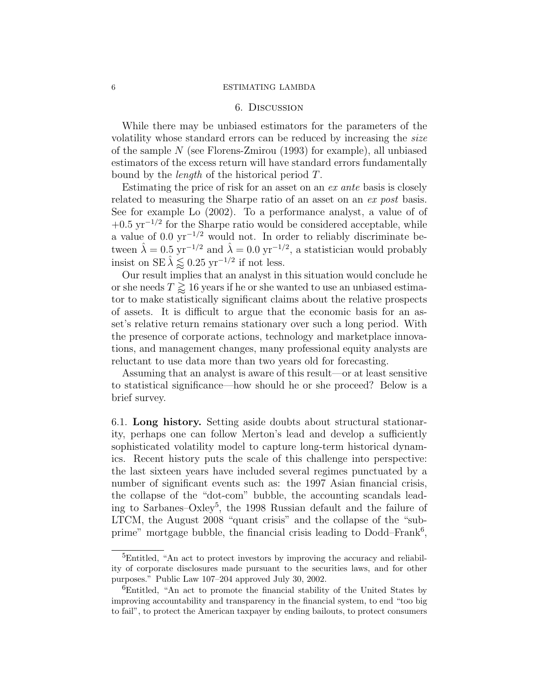#### 6. Discussion

While there may be unbiased estimators for the parameters of the volatility whose standard errors can be reduced by increasing the size of the sample N (see Florens-Zmirou (1993) for example), all unbiased estimators of the excess return will have standard errors fundamentally bound by the length of the historical period T.

Estimating the price of risk for an asset on an ex ante basis is closely related to measuring the Sharpe ratio of an asset on an ex post basis. See for example Lo (2002). To a performance analyst, a value of of  $+0.5 \,\mathrm{yr}^{-1/2}$  for the Sharpe ratio would be considered acceptable, while a value of  $0.0 \text{ yr}^{-1/2}$  would not. In order to reliably discriminate between  $\hat{\lambda} = 0.5 \text{ yr}^{-1/2}$  and  $\hat{\lambda} = 0.0 \text{ yr}^{-1/2}$ , a statistician would probably insist on SE  $\hat{\lambda} \leq 0.25$  yr<sup>-1/2</sup> if not less.

Our result implies that an analyst in this situation would conclude he or she needs  $T \gtrsim 16$  years if he or she wanted to use an unbiased estimator to make statistically significant claims about the relative prospects of assets. It is difficult to argue that the economic basis for an asset's relative return remains stationary over such a long period. With the presence of corporate actions, technology and marketplace innovations, and management changes, many professional equity analysts are reluctant to use data more than two years old for forecasting.

Assuming that an analyst is aware of this result—or at least sensitive to statistical significance—how should he or she proceed? Below is a brief survey.

6.1. Long history. Setting aside doubts about structural stationarity, perhaps one can follow Merton's lead and develop a sufficiently sophisticated volatility model to capture long-term historical dynamics. Recent history puts the scale of this challenge into perspective: the last sixteen years have included several regimes punctuated by a number of significant events such as: the 1997 Asian financial crisis, the collapse of the "dot-com" bubble, the accounting scandals leading to Sarbanes–Oxley<sup>5</sup>, the 1998 Russian default and the failure of LTCM, the August 2008 "quant crisis" and the collapse of the "subprime" mortgage bubble, the financial crisis leading to  $Dodd-Frank<sup>6</sup>$ ,

<sup>&</sup>lt;sup>5</sup>Entitled, "An act to protect investors by improving the accuracy and reliability of corporate disclosures made pursuant to the securities laws, and for other purposes." Public Law 107–204 approved July 30, 2002.

<sup>&</sup>lt;sup>6</sup>Entitled, "An act to promote the financial stability of the United States by improving accountability and transparency in the financial system, to end "too big to fail", to protect the American taxpayer by ending bailouts, to protect consumers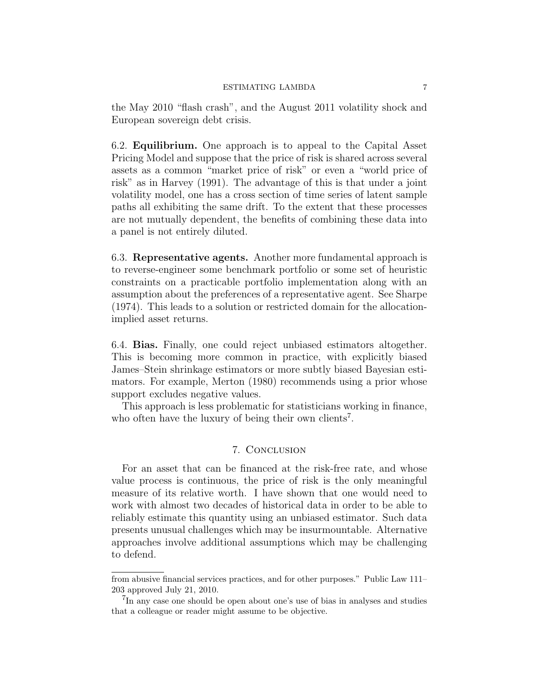the May 2010 "flash crash", and the August 2011 volatility shock and European sovereign debt crisis.

6.2. Equilibrium. One approach is to appeal to the Capital Asset Pricing Model and suppose that the price of risk is shared across several assets as a common "market price of risk" or even a "world price of risk" as in Harvey (1991). The advantage of this is that under a joint volatility model, one has a cross section of time series of latent sample paths all exhibiting the same drift. To the extent that these processes are not mutually dependent, the benefits of combining these data into a panel is not entirely diluted.

6.3. Representative agents. Another more fundamental approach is to reverse-engineer some benchmark portfolio or some set of heuristic constraints on a practicable portfolio implementation along with an assumption about the preferences of a representative agent. See Sharpe (1974). This leads to a solution or restricted domain for the allocationimplied asset returns.

6.4. Bias. Finally, one could reject unbiased estimators altogether. This is becoming more common in practice, with explicitly biased James–Stein shrinkage estimators or more subtly biased Bayesian estimators. For example, Merton (1980) recommends using a prior whose support excludes negative values.

This approach is less problematic for statisticians working in finance, who often have the luxury of being their own clients<sup>7</sup>.

## 7. Conclusion

For an asset that can be financed at the risk-free rate, and whose value process is continuous, the price of risk is the only meaningful measure of its relative worth. I have shown that one would need to work with almost two decades of historical data in order to be able to reliably estimate this quantity using an unbiased estimator. Such data presents unusual challenges which may be insurmountable. Alternative approaches involve additional assumptions which may be challenging to defend.

from abusive financial services practices, and for other purposes." Public Law 111– 203 approved July 21, 2010.

<sup>&</sup>lt;sup>7</sup>In any case one should be open about one's use of bias in analyses and studies that a colleague or reader might assume to be objective.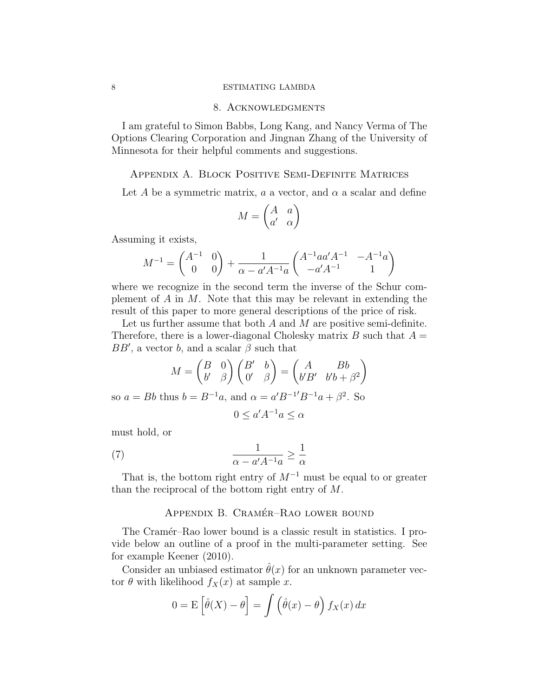#### 8. Acknowledgments

I am grateful to Simon Babbs, Long Kang, and Nancy Verma of The Options Clearing Corporation and Jingnan Zhang of the University of Minnesota for their helpful comments and suggestions.

## Appendix A. Block Positive Semi-Definite Matrices

Let A be a symmetric matrix,  $a$  a vector, and  $\alpha$  a scalar and define

$$
M = \begin{pmatrix} A & a \\ a' & \alpha \end{pmatrix}
$$

Assuming it exists,

$$
M^{-1} = \begin{pmatrix} A^{-1} & 0 \\ 0 & 0 \end{pmatrix} + \frac{1}{\alpha - a' A^{-1} a} \begin{pmatrix} A^{-1} a a' A^{-1} & -A^{-1} a \\ -a' A^{-1} & 1 \end{pmatrix}
$$

where we recognize in the second term the inverse of the Schur complement of  $A$  in  $M$ . Note that this may be relevant in extending the result of this paper to more general descriptions of the price of risk.

Let us further assume that both  $A$  and  $M$  are positive semi-definite. Therefore, there is a lower-diagonal Cholesky matrix B such that  $A =$  $BB'$ , a vector b, and a scalar  $\beta$  such that

$$
M = \begin{pmatrix} B & 0 \\ b' & \beta \end{pmatrix} \begin{pmatrix} B' & b \\ 0' & \beta \end{pmatrix} = \begin{pmatrix} A & Bb \\ b'B' & b'b + \beta^2 \end{pmatrix}
$$
  
so  $a = Bb$  thus  $b = B^{-1}a$ , and  $\alpha = a'B^{-1'}B^{-1}a + \beta^2$ . So  
 $0 \le a'A^{-1}a \le \alpha$ 

must hold, or

(7) 
$$
\frac{1}{\alpha - a' A^{-1} a} \ge \frac{1}{\alpha}
$$

That is, the bottom right entry of  $M^{-1}$  must be equal to or greater than the reciprocal of the bottom right entry of M.

## APPENDIX B. CRAMÉR-RAO LOWER BOUND

The Cramér–Rao lower bound is a classic result in statistics. I provide below an outline of a proof in the multi-parameter setting. See for example Keener (2010).

Consider an unbiased estimator  $\hat{\theta}(x)$  for an unknown parameter vector  $\theta$  with likelihood  $f_X(x)$  at sample x.

$$
0 = E\left[\hat{\theta}(X) - \theta\right] = \int \left(\hat{\theta}(x) - \theta\right) f_X(x) dx
$$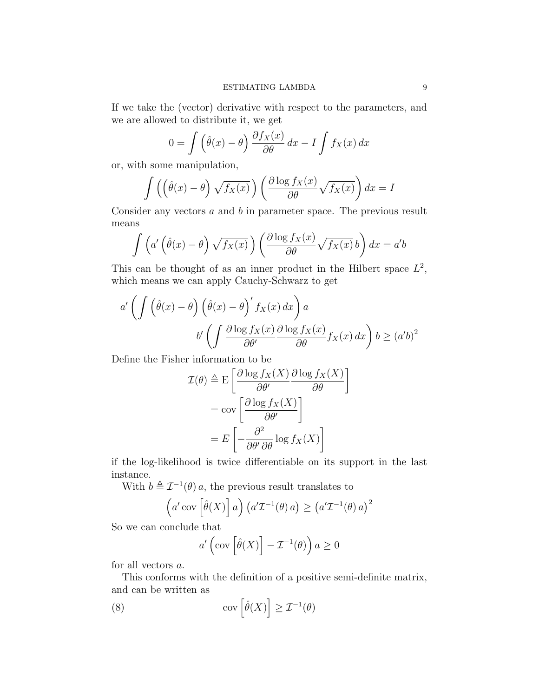If we take the (vector) derivative with respect to the parameters, and we are allowed to distribute it, we get

$$
0 = \int \left(\hat{\theta}(x) - \theta\right) \frac{\partial f_X(x)}{\partial \theta} dx - I \int f_X(x) dx
$$

or, with some manipulation,

$$
\int \left( \left( \hat{\theta}(x) - \theta \right) \sqrt{f_X(x)} \right) \left( \frac{\partial \log f_X(x)}{\partial \theta} \sqrt{f_X(x)} \right) dx = I
$$

Consider any vectors a and b in parameter space. The previous result means

$$
\int \left( a' \left( \hat{\theta}(x) - \theta \right) \sqrt{f_X(x)} \right) \left( \frac{\partial \log f_X(x)}{\partial \theta} \sqrt{f_X(x)} \, b \right) dx = a'b
$$

This can be thought of as an inner product in the Hilbert space  $L^2$ , which means we can apply Cauchy-Schwarz to get

$$
a' \left( \int \left( \hat{\theta}(x) - \theta \right) \left( \hat{\theta}(x) - \theta \right)' f_X(x) dx \right) a
$$

$$
b' \left( \int \frac{\partial \log f_X(x)}{\partial \theta'} \frac{\partial \log f_X(x)}{\partial \theta} f_X(x) dx \right) b \ge (a'b)^2
$$

Define the Fisher information to be

$$
\mathcal{I}(\theta) \triangleq \mathcal{E}\left[\frac{\partial \log f_X(X)}{\partial \theta'} \frac{\partial \log f_X(X)}{\partial \theta'}\right]
$$

$$
= \text{cov}\left[\frac{\partial \log f_X(X)}{\partial \theta'}\right]
$$

$$
= E\left[-\frac{\partial^2}{\partial \theta'} \frac{\partial \log f_X(X)}{\partial \theta'}\right]
$$

if the log-likelihood is twice differentiable on its support in the last instance.

With  $b \triangleq \mathcal{I}^{-1}(\theta) a$ , the previous result translates to

$$
\left(a'\operatorname{cov}\left[\hat{\theta}(X)\right]a\right)\left(a'\mathcal{I}^{-1}(\theta)a\right) \geq \left(a'\mathcal{I}^{-1}(\theta)a\right)^2
$$

So we can conclude that

$$
a'\left(\mathrm{cov}\left[\hat{\theta}(X)\right] - \mathcal{I}^{-1}(\theta)\right) a \ge 0
$$

for all vectors a.

This conforms with the definition of a positive semi-definite matrix, and can be written as

(8) 
$$
\operatorname{cov}\left[\hat{\theta}(X)\right] \geq \mathcal{I}^{-1}(\theta)
$$